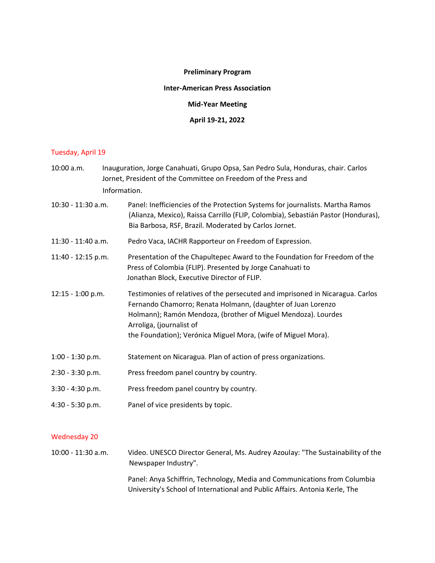## **Preliminary Program**

#### **Inter-American Press Association**

**Mid-Year Meeting**

## **April 19-21, 2022**

# Tuesday, April 19

| 10:00 a.m.         |  | Inauguration, Jorge Canahuati, Grupo Opsa, San Pedro Sula, Honduras, chair. Carlos<br>Jornet, President of the Committee on Freedom of the Press and<br>Information.                                                                                                                                         |  |
|--------------------|--|--------------------------------------------------------------------------------------------------------------------------------------------------------------------------------------------------------------------------------------------------------------------------------------------------------------|--|
| 10:30 - 11:30 a.m. |  | Panel: Inefficiencies of the Protection Systems for journalists. Martha Ramos<br>(Alianza, Mexico), Raissa Carrillo (FLIP, Colombia), Sebastián Pastor (Honduras),<br>Bia Barbosa, RSF, Brazil. Moderated by Carlos Jornet.                                                                                  |  |
| 11:30 - 11:40 a.m. |  | Pedro Vaca, IACHR Rapporteur on Freedom of Expression.                                                                                                                                                                                                                                                       |  |
| 11:40 - 12:15 p.m. |  | Presentation of the Chapultepec Award to the Foundation for Freedom of the<br>Press of Colombia (FLIP). Presented by Jorge Canahuati to<br>Jonathan Block, Executive Director of FLIP.                                                                                                                       |  |
| 12:15 - 1:00 p.m.  |  | Testimonies of relatives of the persecuted and imprisoned in Nicaragua. Carlos<br>Fernando Chamorro; Renata Holmann, (daughter of Juan Lorenzo<br>Holmann); Ramón Mendoza, (brother of Miguel Mendoza). Lourdes<br>Arroliga, (journalist of<br>the Foundation); Verónica Miguel Mora, (wife of Miguel Mora). |  |
| 1:00 - 1:30 p.m.   |  | Statement on Nicaragua. Plan of action of press organizations.                                                                                                                                                                                                                                               |  |
| 2:30 - 3:30 p.m.   |  | Press freedom panel country by country.                                                                                                                                                                                                                                                                      |  |
| 3:30 - 4:30 p.m.   |  | Press freedom panel country by country.                                                                                                                                                                                                                                                                      |  |
| 4:30 - 5:30 p.m.   |  | Panel of vice presidents by topic.                                                                                                                                                                                                                                                                           |  |
|                    |  |                                                                                                                                                                                                                                                                                                              |  |

## Wednesday 20

10:00 - 11:30 a.m. Video. UNESCO Director General, Ms. Audrey Azoulay: "The Sustainability of the Newspaper Industry".

> Panel: Anya Schiffrin, Technology, Media and Communications from Columbia University's School of International and Public Affairs. Antonia Kerle, The